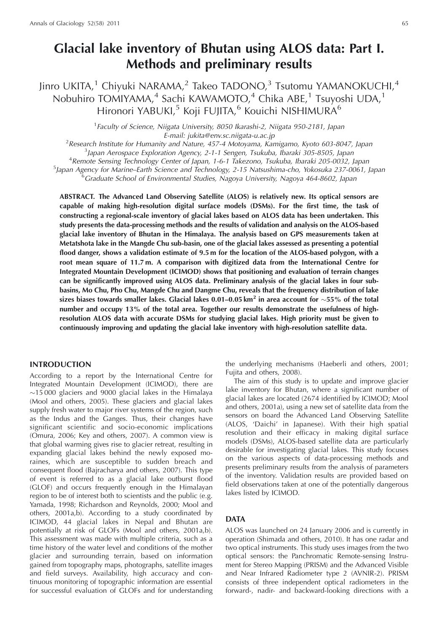# **Glacial lake inventory of Bhutan using ALOS data: Part I. Methods and preliminary results**

Jinro UKITA,<sup>1</sup> Chiyuki NARAMA,<sup>2</sup> Takeo TADONO,<sup>3</sup> Tsutomu YAMANOKUCHI,<sup>4</sup> Nobuhiro TOMIYAMA,<sup>4</sup> Sachi KAWAMOTO,<sup>4</sup> Chika ABE,<sup>1</sup> Tsuyoshi UDA,<sup>1</sup> Hironori YABUKI,<sup>5</sup> Koji FUJITA,<sup>6</sup> Kouichi NISHIMURA<sup>6</sup>

<sup>1</sup> Faculty of Science, Niigata University, 8050 Ikarashi-2, Niigata 950-2181, Japan E-mail: jukita@env.sc.niigata-u.ac.jp<br>2 Research Institute for Humanity and Nature 457.4 Metevama, Ka

Research Institute for Humanity and Nature, 457-4 Motoyama, Kamigamo, Kyoto 603-8047, Japan<br>3Japan Aerospace Exploration Agency, 2-1-1 Sengen, Tsukuba, Ibaraki 305-8505, Japan

 $3$ Japan Aerospace Exploration Agency, 2-1-1 Sengen, Tsukuba, Ibaraki 305-8505, Japan

<sup>4</sup> Remote Sensing Technology Center of Japan, 1-6-1 Takezono, Tsukuba, Ibaraki 205-0032, Japan <sup>5</sup> Japan Agency for Marine–Earth Science and Technology, 2-15 Natsushima-cho, Yokosuka 237-0061, Japan

<sup>6</sup>Graduate School of Environmental Studies, Nagoya University, Nagoya 464-8602, Japan

**ABSTRACT. The Advanced Land Observing Satellite (ALOS) is relatively new. Its optical sensors are capable of making high-resolution digital surface models (DSMs). For the first time, the task of constructing a regional-scale inventory of glacial lakes based on ALOS data has been undertaken. This study presents the data-processing methods and the results of validation and analysis on the ALOS-based glacial lake inventory of Bhutan in the Himalaya. The analysis based on GPS measurements taken at Metatshota lake in the Mangde Chu sub-basin, one of the glacial lakes assessed as presenting a potential flood danger, shows a validation estimate of 9.5 m for the location of the ALOS-based polygon, with a root mean square of 11.7 m. A comparison with digitized data from the International Centre for Integrated Mountain Development (ICIMOD) shows that positioning and evaluation of terrain changes can be significantly improved using ALOS data. Preliminary analysis of the glacial lakes in four subbasins, Mo Chu, Pho Chu, Mangde Chu and Dangme Chu, reveals that the frequency distribution of lake**  $s$ izes biases towards smaller lakes. Glacial lakes 0.01–0.05 km<sup>2</sup> in area account for  $\sim$ 55% of the total **number and occupy 13% of the total area. Together our results demonstrate the usefulness of highresolution ALOS data with accurate DSMs for studying glacial lakes. High priority must be given to continuously improving and updating the glacial lake inventory with high-resolution satellite data.**

## **INTRODUCTION**

According to a report by the International Centre for Integrated Mountain Development (ICIMOD), there are  $\sim$ 15 000 glaciers and 9000 glacial lakes in the Himalaya (Mool and others, 2005). These glaciers and glacial lakes supply fresh water to major river systems of the region, such as the Indus and the Ganges. Thus, their changes have significant scientific and socio-economic implications (Omura, 2006; Key and others, 2007). A common view is that global warming gives rise to glacier retreat, resulting in expanding glacial lakes behind the newly exposed moraines, which are susceptible to sudden breach and consequent flood (Bajracharya and others, 2007). This type of event is referred to as a glacial lake outburst flood (GLOF) and occurs frequently enough in the Himalayan region to be of interest both to scientists and the public (e.g. Yamada, 1998; Richardson and Reynolds, 2000; Mool and others, 2001a,b). According to a study coordinated by ICIMOD, 44 glacial lakes in Nepal and Bhutan are potentially at risk of GLOFs (Mool and others, 2001a,b). This assessment was made with multiple criteria, such as a time history of the water level and conditions of the mother glacier and surrounding terrain, based on information gained from topography maps, photographs, satellite images and field surveys. Availability, high accuracy and continuous monitoring of topographic information are essential for successful evaluation of GLOFs and for understanding the underlying mechanisms (Haeberli and others, 2001; Fujita and others, 2008).

The aim of this study is to update and improve glacier lake inventory for Bhutan, where a significant number of glacial lakes are located (2674 identified by ICIMOD; Mool and others, 2001a), using a new set of satellite data from the sensors on board the Advanced Land Observing Satellite (ALOS, 'Daichi' in Japanese). With their high spatial resolution and their efficacy in making digital surface models (DSMs), ALOS-based satellite data are particularly desirable for investigating glacial lakes. This study focuses on the various aspects of data-processing methods and presents preliminary results from the analysis of parameters of the inventory. Validation results are provided based on field observations taken at one of the potentially dangerous lakes listed by ICIMOD.

#### **DATA**

ALOS was launched on 24 January 2006 and is currently in operation (Shimada and others, 2010). It has one radar and two optical instruments. This study uses images from the two optical sensors: the Panchromatic Remote-sensing Instrument for Stereo Mapping (PRISM) and the Advanced Visible and Near Infrared Radiometer type 2 (AVNIR-2). PRISM consists of three independent optical radiometers in the forward-, nadir- and backward-looking directions with a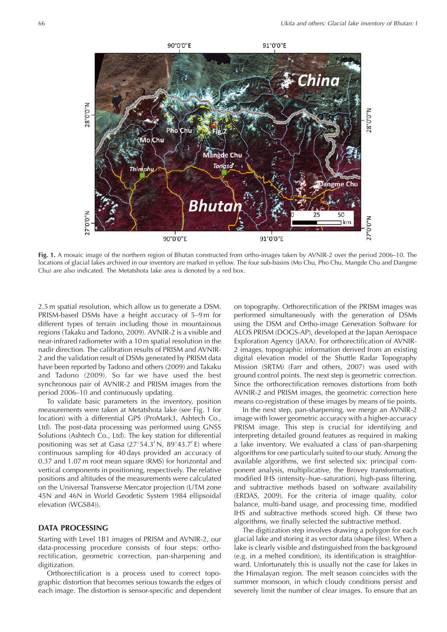

**Fig. 1.** A mosaic image of the northern region of Bhutan constructed from ortho-images taken by AVNIR-2 over the period 2006–10. The locations of glacial lakes archived in our inventory are marked in yellow. The four sub-basins (Mo Chu, Pho Chu, Mangde Chu and Dangme Chu) are also indicated. The Metatshota lake area is denoted by a red box.

2.5 m spatial resolution, which allow us to generate a DSM. PRISM-based DSMs have a height accuracy of 5–9 m for different types of terrain including those in mountainous regions (Takaku and Tadono, 2009). AVNIR-2 is a visible and near-infrared radiometer with a 10 m spatial resolution in the nadir direction. The calibration results of PRISM and AVNIR-2 and the validation result of DSMs generated by PRISM data have been reported by Tadono and others (2009) and Takaku and Tadono (2009). So far we have used the best synchronous pair of AVNIR-2 and PRISM images from the period 2006–10 and continuously updating.

To validate basic parameters in the inventory, position measurements were taken at Metatshota lake (see Fig. 1 for location) with a differential GPS (ProMark3, Ashtech Co., Ltd). The post-data processing was performed using GNSS Solutions (Ashtech Co., Ltd). The key station for differential positioning was set at Gasa  $(27°54.3' N, 89°43.7' E)$  where continuous sampling for 40 days provided an accuracy of 0.37 and 1.07 m root mean square (RMS) for horizontal and vertical components in positioning, respectively. The relative positions and altitudes of the measurements were calculated on the Universal Transverse Mercator projection (UTM zone 45N and 46N in World Geodetic System 1984 ellipsoidal elevation (WGS84)).

#### **DATA PROCESSING**

Starting with Level 1B1 images of PRISM and AVNIR-2, our data-processing procedure consists of four steps: orthorectification, geometric correction, pan-sharpening and digitization.

Orthorectification is a process used to correct topographic distortion that becomes serious towards the edges of each image. The distortion is sensor-specific and dependent on topography. Orthorectification of the PRISM images was performed simultaneously with the generation of DSMs using the DSM and Ortho-image Generation Software for ALOS PRISM (DOGS-AP), developed at the Japan Aerospace Exploration Agency (JAXA). For orthorectification of AVNIR-2 images, topographic information derived from an existing digital elevation model of the Shuttle Radar Topography Mission (SRTM) (Farr and others, 2007) was used with ground control points. The next step is geometric correction. Since the orthorectification removes distortions from both AVNIR-2 and PRISM images, the geometric correction here means co-registration of these images by means of tie points.

In the next step, pan-sharpening, we merge an AVNIR-2 image with lower geometric accuracy with a higher-accuracy PRISM image. This step is crucial for identifying and interpreting detailed ground features as required in making a lake inventory. We evaluated a class of pan-sharpening algorithms for one particularly suited to our study. Among the available algorithms, we first selected six: principal component analysis, multiplicative, the Brovey transformation, modified IHS (intensity–hue–saturation), high-pass filtering, and subtractive methods based on software availability (ERDAS, 2009). For the criteria of image quality, color balance, multi-band usage, and processing time, modified IHS and subtractive methods scored high. Of these two algorithms, we finally selected the subtractive method.

The digitization step involves drawing a polygon for each glacial lake and storing it as vector data (shape files). When a lake is clearly visible and distinguished from the background (e.g. in a melted condition), its identification is straightforward. Unfortunately this is usually not the case for lakes in the Himalayan region. The melt season coincides with the summer monsoon, in which cloudy conditions persist and severely limit the number of clear images. To ensure that an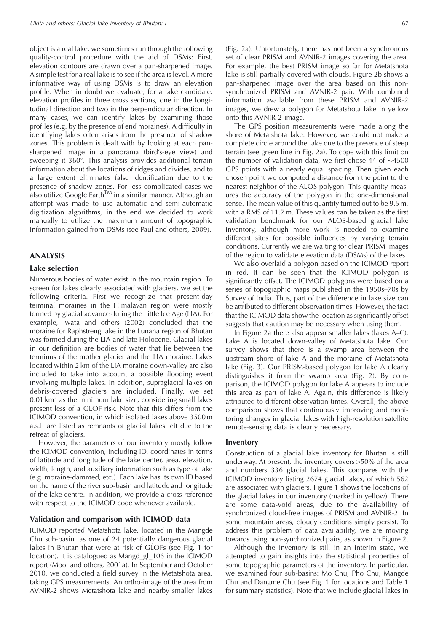object is a real lake, we sometimes run through the following quality-control procedure with the aid of DSMs: First, elevation contours are drawn over a pan-sharpened image. A simple test for a real lake is to see if the area is level. A more informative way of using DSMs is to draw an elevation profile. When in doubt we evaluate, for a lake candidate, elevation profiles in three cross sections, one in the longitudinal direction and two in the perpendicular direction. In many cases, we can identify lakes by examining those profiles (e.g. by the presence of end moraines). A difficulty in identifying lakes often arises from the presence of shadow zones. This problem is dealt with by looking at each pansharpened image in a panorama (bird's-eye view) and sweeping it  $360^\circ$ . This analysis provides additional terrain information about the locations of ridges and divides, and to a large extent eliminates false identification due to the presence of shadow zones. For less complicated cases we also utilize Google Earth<sup>TM</sup> in a similar manner. Although an attempt was made to use automatic and semi-automatic digitization algorithms, in the end we decided to work manually to utilize the maximum amount of topographic information gained from DSMs (see Paul and others, 2009).

#### **ANALYSIS**

#### **Lake selection**

Numerous bodies of water exist in the mountain region. To screen for lakes clearly associated with glaciers, we set the following criteria. First we recognize that present-day terminal moraines in the Himalayan region were mostly formed by glacial advance during the Little Ice Age (LIA). For example, Iwata and others (2002) concluded that the moraine for Raphstreng lake in the Lunana region of Bhutan was formed during the LIA and late Holocene. Glacial lakes in our definition are bodies of water that lie between the terminus of the mother glacier and the LIA moraine. Lakes located within 2 km of the LIA moraine down-valley are also included to take into account a possible flooding event involving multiple lakes. In addition, supraglacial lakes on debris-covered glaciers are included. Finally, we set 0.01  $km^2$  as the minimum lake size, considering small lakes present less of a GLOF risk. Note that this differs from the ICIMOD convention, in which isolated lakes above 3500 m a.s.l. are listed as remnants of glacial lakes left due to the retreat of glaciers.

However, the parameters of our inventory mostly follow the ICIMOD convention, including ID, coordinates in terms of latitude and longitude of the lake center, area, elevation, width, length, and auxiliary information such as type of lake (e.g. moraine-dammed, etc.). Each lake has its own ID based on the name of the river sub-basin and latitude and longitude of the lake centre. In addition, we provide a cross-reference with respect to the ICIMOD code whenever available.

#### **Validation and comparison with ICIMOD data**

ICIMOD reported Metatshota lake, located in the Mangde Chu sub-basin, as one of 24 potentially dangerous glacial lakes in Bhutan that were at risk of GLOFs (see Fig. 1 for location). It is catalogued as Mangd\_gl\_106 in the ICIMOD report (Mool and others, 2001a). In September and October 2010, we conducted a field survey in the Metatshota area, taking GPS measurements. An ortho-image of the area from AVNIR-2 shows Metatshota lake and nearby smaller lakes

(Fig. 2a). Unfortunately, there has not been a synchronous set of clear PRISM and AVNIR-2 images covering the area. For example, the best PRISM image so far for Metatshota lake is still partially covered with clouds. Figure 2b shows a pan-sharpened image over the area based on this nonsynchronized PRISM and AVNIR-2 pair. With combined information available from these PRISM and AVNIR-2 images, we drew a polygon for Metatshota lake in yellow onto this AVNIR-2 image.

The GPS position measurements were made along the shore of Metatshota lake. However, we could not make a complete circle around the lake due to the presence of steep terrain (see green line in Fig. 2a). To cope with this limit on the number of validation data, we first chose 44 of  $\sim$ 4500 GPS points with a nearly equal spacing. Then given each chosen point we computed a distance from the point to the nearest neighbor of the ALOS polygon. This quantity measures the accuracy of the polygon in the one-dimensional sense. The mean value of this quantity turned out to be 9.5 m, with a RMS of 11.7 m. These values can be taken as the first validation benchmark for our ALOS-based glacial lake inventory, although more work is needed to examine different sites for possible influences by varying terrain conditions. Currently we are waiting for clear PRISM images of the region to validate elevation data (DSMs) of the lakes.

We also overlaid a polygon based on the ICIMOD report in red. It can be seen that the ICIMOD polygon is significantly offset. The ICIMOD polygons were based on a series of topographic maps published in the 1950s–70s by Survey of India. Thus, part of the difference in lake size can be attributed to different observation times. However, the fact that the ICIMOD data show the location as significantly offset suggests that caution may be necessary when using them.

In Figure 2a there also appear smaller lakes (lakes A–C). Lake A is located down-valley of Metatshota lake. Our survey shows that there is a swamp area between the upstream shore of lake A and the moraine of Metatshota lake (Fig. 3). Our PRISM-based polygon for lake A clearly distinguishes it from the swamp area (Fig. 2). By comparison, the ICIMOD polygon for lake A appears to include this area as part of lake A. Again, this difference is likely attributed to different observation times. Overall, the above comparison shows that continuously improving and monitoring changes in glacial lakes with high-resolution satellite remote-sensing data is clearly necessary.

#### **Inventory**

Construction of a glacial lake inventory for Bhutan is still underway. At present, the inventory covers >50% of the area and numbers 336 glacial lakes. This compares with the ICIMOD inventory listing 2674 glacial lakes, of which 562 are associated with glaciers. Figure 1 shows the locations of the glacial lakes in our inventory (marked in yellow). There are some data-void areas, due to the availability of synchronized cloud-free images of PRISM and AVNIR-2. In some mountain areas, cloudy conditions simply persist. To address this problem of data availability, we are moving towards using non-synchronized pairs, as shown in Figure 2.

Although the inventory is still in an interim state, we attempted to gain insights into the statistical properties of some topographic parameters of the inventory. In particular, we examined four sub-basins: Mo Chu, Pho Chu, Mangde Chu and Dangme Chu (see Fig. 1 for locations and Table 1 for summary statistics). Note that we include glacial lakes in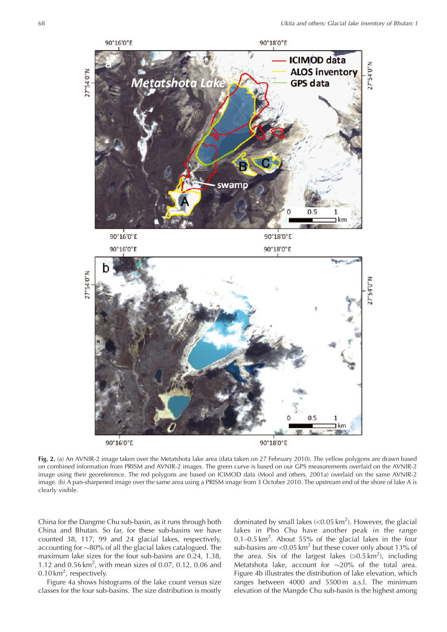

90°16'0"E



**Fig. 2.** (a) An AVNIR-2 image taken over the Metatshota lake area (data taken on 27 February 2010). The yellow polygons are drawn based on combined information from PRISM and AVNIR-2 images. The green curve is based on our GPS measurements overlaid on the AVNIR-2 image using their georeference. The red polygons are based on ICIMOD data (Mool and others, 2001a) overlaid on the same AVNIR-2 image. (b) A pan-sharpened image over the same area using a PRISM image from 3 October 2010. The upstream end of the shore of lake A is clearly visible.

China for the Dangme Chu sub-basin, as it runs through both China and Bhutan. So far, for these sub-basins we have counted 38, 117, 99 and 24 glacial lakes, respectively, accounting for  $\sim$ 80% of all the glacial lakes catalogued. The maximum lake sizes for the four sub-basins are 0.24, 1.38, 1.12 and 0.56 km<sup>2</sup>, with mean sizes of 0.07, 0.12, 0.06 and  $0.10 \text{ km}^2$ , respectively.

Figure 4a shows histograms of the lake count versus size classes for the four sub-basins. The size distribution is mostly

dominated by small lakes  $(<$  0.05 km<sup>2</sup>). However, the glacial lakes in Pho Chu have another peak in the range  $0.1 - 0.5$  km<sup>2</sup>. About 55% of the glacial lakes in the four sub-basins are  $\langle 0.05 \text{ km}^2 \text{ but these cover only about } 13\%$  of the area. Six of the largest lakes  $(>0.5 \text{ km}^2)$ , including Metatshota lake, account for  $\sim$ 20% of the total area. Figure 4b illustrates the distribution of lake elevation, which ranges between 4000 and 5500 m a.s.l. The minimum elevation of the Mangde Chu sub-basin is the highest among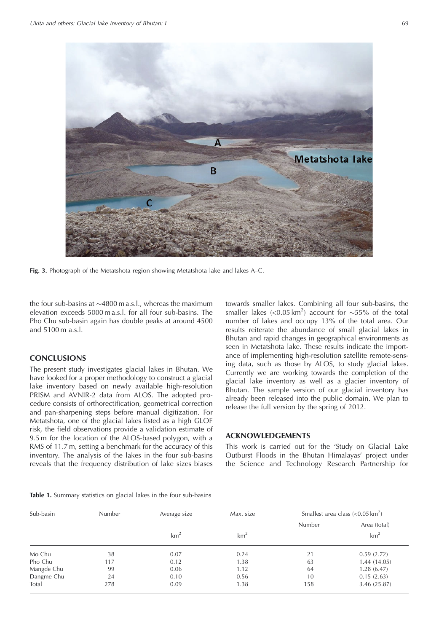

Fig. 3. Photograph of the Metatshota region showing Metatshota lake and lakes A–C.

the four sub-basins at  ${\sim}4800$  m a.s.l., whereas the maximum elevation exceeds 5000 m a.s.l. for all four sub-basins. The Pho Chu sub-basin again has double peaks at around 4500 and 5100 m a.s.l.

### **CONCLUSIONS**

The present study investigates glacial lakes in Bhutan. We have looked for a proper methodology to construct a glacial lake inventory based on newly available high-resolution PRISM and AVNIR-2 data from ALOS. The adopted procedure consists of orthorectification, geometrical correction and pan-sharpening steps before manual digitization. For Metatshota, one of the glacial lakes listed as a high GLOF risk, the field observations provide a validation estimate of 9.5 m for the location of the ALOS-based polygon, with a RMS of 11.7 m, setting a benchmark for the accuracy of this inventory. The analysis of the lakes in the four sub-basins reveals that the frequency distribution of lake sizes biases

towards smaller lakes. Combining all four sub-basins, the smaller lakes (<0.05 km<sup>2</sup>) account for  $\sim$  55% of the total number of lakes and occupy 13% of the total area. Our results reiterate the abundance of small glacial lakes in Bhutan and rapid changes in geographical environments as seen in Metatshota lake. These results indicate the importance of implementing high-resolution satellite remote-sensing data, such as those by ALOS, to study glacial lakes. Currently we are working towards the completion of the glacial lake inventory as well as a glacier inventory of Bhutan. The sample version of our glacial inventory has already been released into the public domain. We plan to release the full version by the spring of 2012.

## **ACKNOWLEDGEMENTS**

This work is carried out for the 'Study on Glacial Lake Outburst Floods in the Bhutan Himalayas' project under the Science and Technology Research Partnership for

|  | Table 1. Summary statistics on glacial lakes in the four sub-basins |  |  |  |  |
|--|---------------------------------------------------------------------|--|--|--|--|
|--|---------------------------------------------------------------------|--|--|--|--|

| Sub-basin  | Number | Average size    | Max. size       | Smallest area class $(<0.05 \text{ km}^2)$ |                 |
|------------|--------|-----------------|-----------------|--------------------------------------------|-----------------|
|            |        |                 |                 | Number                                     | Area (total)    |
|            |        | km <sup>2</sup> | km <sup>2</sup> |                                            | km <sup>2</sup> |
| Mo Chu     | 38     | 0.07            | 0.24            | 21                                         | 0.59(2.72)      |
| Pho Chu    | 117    | 0.12            | 1.38            | 63                                         | 1.44(14.05)     |
| Mangde Chu | 99     | 0.06            | 1.12            | 64                                         | 1.28(6.47)      |
| Dangme Chu | 24     | 0.10            | 0.56            | 10                                         | 0.15(2.63)      |
| Total      | 278    | 0.09            | 1.38            | 158                                        | 3.46 (25.87)    |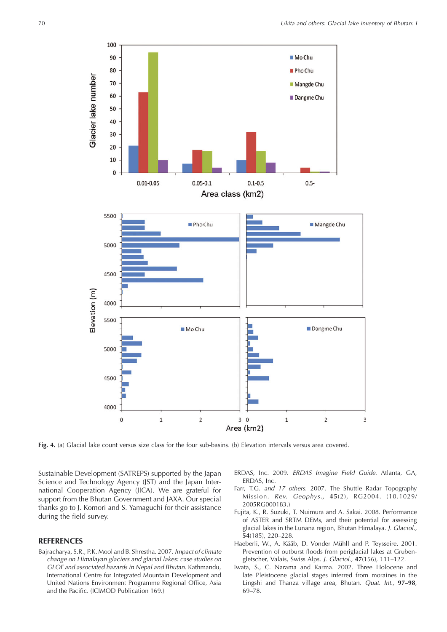

**Fig. 4.** (a) Glacial lake count versus size class for the four sub-basins. (b) Elevation intervals versus area covered.

Sustainable Development (SATREPS) supported by the Japan Science and Technology Agency (JST) and the Japan International Cooperation Agency (JICA). We are grateful for support from the Bhutan Government and JAXA. Our special thanks go to J. Komori and S. Yamaguchi for their assistance during the field survey.

#### **REFERENCES**

Bajracharya, S.R., P.K. Mool and B. Shrestha. 2007. Impact of climate change on Himalayan glaciers and glacial lakes: case studies on GLOF and associated hazards in Nepal and Bhutan. Kathmandu, International Centre for Integrated Mountain Development and United Nations Environment Programme Regional Office, Asia and the Pacific. (ICIMOD Publication 169.)

- ERDAS, Inc. 2009. ERDAS Imagine Field Guide. Atlanta, GA, ERDAS, Inc.
- Farr, T.G. and 17 others. 2007. The Shuttle Radar Topography Mission. Rev. Geophys., **45**(2), RG2004. (10.1029/ 2005RG000183.)
- Fujita, K., R. Suzuki, T. Nuimura and A. Sakai. 2008. Performance of ASTER and SRTM DEMs, and their potential for assessing glacial lakes in the Lunana region, Bhutan Himalaya. J. Glaciol., **54**(185), 220–228.
- Haeberli, W., A. Kääb, D. Vonder Mühll and P. Teysseire. 2001. Prevention of outburst floods from periglacial lakes at Grubengletscher, Valais, Swiss Alps. J. Glaciol., **47**(156), 111–122.
- Iwata, S., C. Narama and Karma. 2002. Three Holocene and late Pleistocene glacial stages inferred from moraines in the Lingshi and Thanza village area, Bhutan. Quat. Int., **97–98**, 69–78.